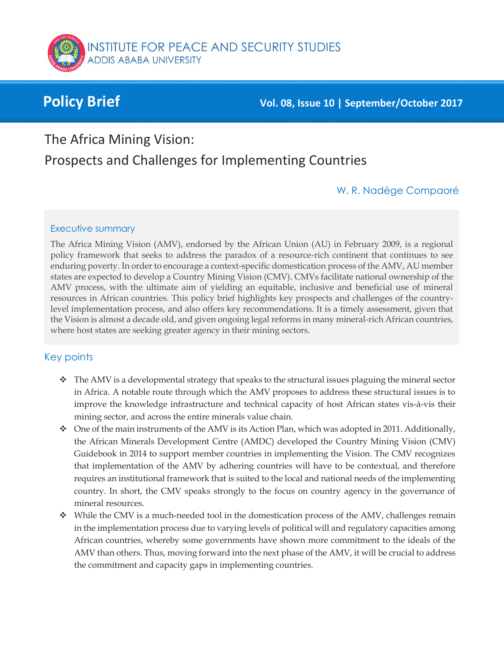

**Policy Brief Vol. 08, Issue 10 | September/October <sup>2017</sup>**

The Africa Mining Vision:

# Prospects and Challenges for Implementing Countries

#### W. R. Nadège Compaoré

#### Executive summary

The Africa Mining Vision (AMV), endorsed by the African Union (AU) in February 2009, is a regional policy framework that seeks to address the paradox of a resource-rich continent that continues to see enduring poverty. In order to encourage a context-specific domestication process of the AMV, AU member states are expected to develop a Country Mining Vision (CMV). CMVs facilitate national ownership of the AMV process, with the ultimate aim of yielding an equitable, inclusive and beneficial use of mineral resources in African countries. This policy brief highlights key prospects and challenges of the countrylevel implementation process, and also offers key recommendations. It is a timely assessment, given that the Vision is almost a decade old, and given ongoing legal reforms in many mineral-rich African countries, where host states are seeking greater agency in their mining sectors.

#### Key points

- \* The AMV is a developmental strategy that speaks to the structural issues plaguing the mineral sector in Africa. A notable route through which the AMV proposes to address these structural issues is to improve the knowledge infrastructure and technical capacity of host African states vis-à-vis their mining sector, and across the entire minerals value chain.
- $\bullet$  One of the main instruments of the AMV is its Action Plan, which was adopted in 2011. Additionally, the African Minerals Development Centre (AMDC) developed the Country Mining Vision (CMV) Guidebook in 2014 to support member countries in implementing the Vision. The CMV recognizes that implementation of the AMV by adhering countries will have to be contextual, and therefore requires an institutional framework that is suited to the local and national needs of the implementing country. In short, the CMV speaks strongly to the focus on country agency in the governance of mineral resources.
- \* While the CMV is a much-needed tool in the domestication process of the AMV, challenges remain in the implementation process due to varying levels of political will and regulatory capacities among African countries, whereby some governments have shown more commitment to the ideals of the AMV than others. Thus, moving forward into the next phase of the AMV, it will be crucial to address the commitment and capacity gaps in implementing countries.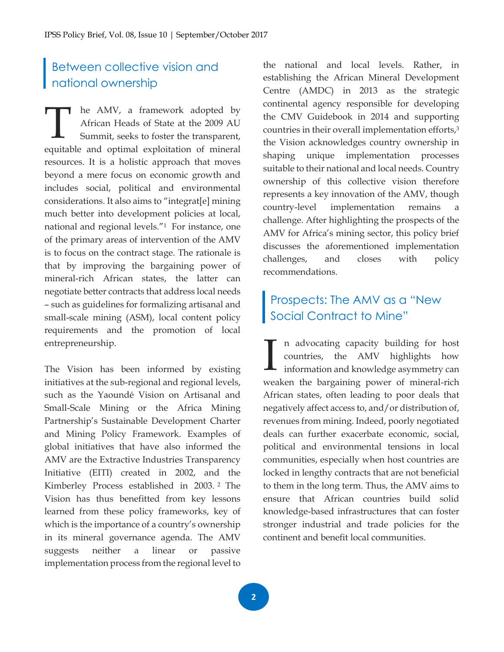## Between collective vision and national ownership

he AMV, a framework adopted by African Heads of State at the 2009 AU Summit, seeks to foster the transparent, The AMV, a framework adopted by African Heads of State at the 2009 AU Summit, seeks to foster the transparent, equitable and optimal exploitation of mineral resources. It is a holistic approach that moves beyond a mere focus on economic growth and includes social, political and environmental considerations. It also aims to "integrat[e] mining much better into development policies at local, national and regional levels."1 For instance, one of the primary areas of intervention of the AMV is to focus on the contract stage. The rationale is that by improving the bargaining power of mineral-rich African states, the latter can negotiate better contracts that address local needs – such as guidelines for formalizing artisanal and small-scale mining (ASM), local content policy requirements and the promotion of local entrepreneurship.

The Vision has been informed by existing initiatives at the sub-regional and regional levels, such as the Yaoundé Vision on Artisanal and Small-Scale Mining or the Africa Mining Partnership's Sustainable Development Charter and Mining Policy Framework. Examples of global initiatives that have also informed the AMV are the Extractive Industries Transparency Initiative (EITI) created in 2002, and the Kimberley Process established in 2003. <sup>2</sup> The Vision has thus benefitted from key lessons learned from these policy frameworks, key of which is the importance of a country's ownership in its mineral governance agenda. The AMV suggests neither a linear or passive implementation process from the regional level to

the national and local levels. Rather, in establishing the African Mineral Development Centre (AMDC) in 2013 as the strategic continental agency responsible for developing the CMV Guidebook in 2014 and supporting countries in their overall implementation efforts,<sup>3</sup> the Vision acknowledges country ownership in shaping unique implementation processes suitable to their national and local needs. Country ownership of this collective vision therefore represents a key innovation of the AMV, though country-level implementation remains a challenge. After highlighting the prospects of the AMV for Africa's mining sector, this policy brief discusses the aforementioned implementation challenges, and closes with policy recommendations.

## Prospects: The AMV as a "New Social Contract to Mine"

n advocating capacity building for host countries, the AMV highlights how information and knowledge asymmetry can weaken the bargaining power of mineral-rich African states, often leading to poor deals that negatively affect access to, and/or distribution of, revenues from mining. Indeed, poorly negotiated deals can further exacerbate economic, social, political and environmental tensions in local communities, especially when host countries are locked in lengthy contracts that are not beneficial to them in the long term. Thus, the AMV aims to ensure that African countries build solid knowledge-based infrastructures that can foster stronger industrial and trade policies for the continent and benefit local communities. I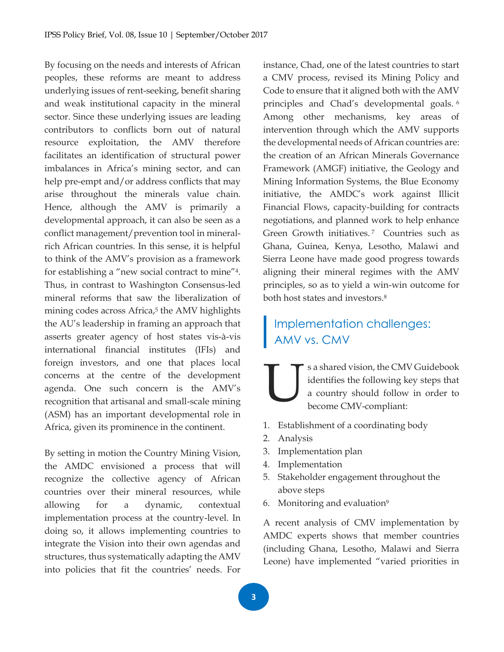By focusing on the needs and interests of African peoples, these reforms are meant to address underlying issues of rent-seeking, benefit sharing and weak institutional capacity in the mineral sector. Since these underlying issues are leading contributors to conflicts born out of natural resource exploitation, the AMV therefore facilitates an identification of structural power imbalances in Africa's mining sector, and can help pre-empt and/or address conflicts that may arise throughout the minerals value chain. Hence, although the AMV is primarily a developmental approach, it can also be seen as a conflict management/prevention tool in mineralrich African countries. In this sense, it is helpful to think of the AMV's provision as a framework for establishing a "new social contract to mine"4. Thus, in contrast to Washington Consensus-led mineral reforms that saw the liberalization of mining codes across Africa,<sup>5</sup> the AMV highlights the AU's leadership in framing an approach that asserts greater agency of host states vis-à-vis international financial institutes (IFIs) and foreign investors, and one that places local concerns at the centre of the development agenda. One such concern is the AMV's recognition that artisanal and small-scale mining (ASM) has an important developmental role in Africa, given its prominence in the continent.

By setting in motion the Country Mining Vision, the AMDC envisioned a process that will recognize the collective agency of African countries over their mineral resources, while allowing for a dynamic, contextual implementation process at the country-level. In doing so, it allows implementing countries to integrate the Vision into their own agendas and structures, thus systematically adapting the AMV into policies that fit the countries' needs. For instance, Chad, one of the latest countries to start a CMV process, revised its Mining Policy and Code to ensure that it aligned both with the AMV principles and Chad's developmental goals. <sup>6</sup> Among other mechanisms, key areas of intervention through which the AMV supports the developmental needs of African countries are: the creation of an African Minerals Governance Framework (AMGF) initiative, the Geology and Mining Information Systems, the Blue Economy initiative, the AMDC's work against Illicit Financial Flows, capacity-building for contracts negotiations, and planned work to help enhance Green Growth initiatives.<sup>7</sup> Countries such as Ghana, Guinea, Kenya, Lesotho, Malawi and Sierra Leone have made good progress towards aligning their mineral regimes with the AMV principles, so as to yield a win-win outcome for both host states and investors.<sup>8</sup>

## Implementation challenges: AMV vs. CMV

s a shared vision, the CMV Guidebook identifies the following key steps that a country should follow in order to become CMV-compliant: U

- 1. Establishment of a coordinating body
- 2. Analysis
- 3. Implementation plan
- 4. Implementation
- 5. Stakeholder engagement throughout the above steps
- 6. Monitoring and evaluation<sup>9</sup>

A recent analysis of CMV implementation by AMDC experts shows that member countries (including Ghana, Lesotho, Malawi and Sierra Leone) have implemented "varied priorities in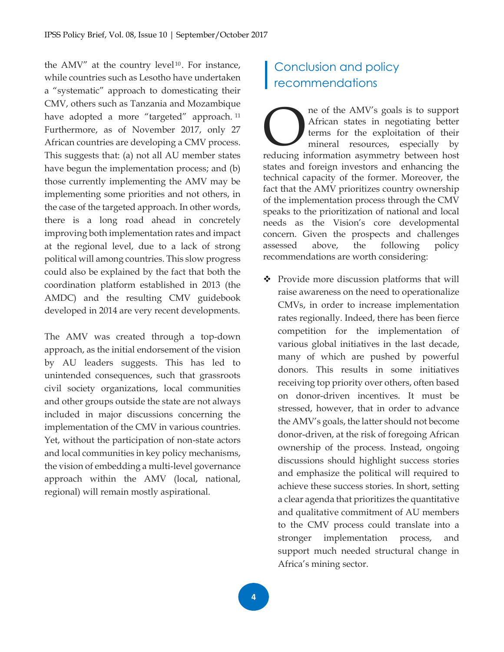the AMV" at the country level<sup>10</sup>. For instance, while countries such as Lesotho have undertaken a "systematic" approach to domesticating their CMV, others such as Tanzania and Mozambique have adopted a more "targeted" approach.<sup>11</sup> Furthermore, as of November 2017, only 27 African countries are developing a CMV process. This suggests that: (a) not all AU member states have begun the implementation process; and (b) those currently implementing the AMV may be implementing some priorities and not others, in the case of the targeted approach. In other words, there is a long road ahead in concretely improving both implementation rates and impact at the regional level, due to a lack of strong political will among countries. This slow progress could also be explained by the fact that both the coordination platform established in 2013 (the AMDC) and the resulting CMV guidebook developed in 2014 are very recent developments.

The AMV was created through a top-down approach, as the initial endorsement of the vision by AU leaders suggests. This has led to unintended consequences, such that grassroots civil society organizations, local communities and other groups outside the state are not always included in major discussions concerning the implementation of the CMV in various countries. Yet, without the participation of non-state actors and local communities in key policy mechanisms, the vision of embedding a multi-level governance approach within the AMV (local, national, regional) will remain mostly aspirational.

## Conclusion and policy recommendations

ne of the AMV's goals is to support African states in negotiating better terms for the exploitation of their mineral resources, especially by reducing information asymmetry between host reducing information asymmetry between host and the exploitation of their mineral resources, especially by reducing information asymmetry between host states and foreign investors and enhancing the technical capacity of the former. Moreover, the fact that the AMV prioritizes country ownership of the implementation process through the CMV speaks to the prioritization of national and local needs as the Vision's core developmental concern. Given the prospects and challenges assessed above, the following policy recommendations are worth considering:

◆ Provide more discussion platforms that will raise awareness on the need to operationalize CMVs, in order to increase implementation rates regionally. Indeed, there has been fierce competition for the implementation of various global initiatives in the last decade, many of which are pushed by powerful donors. This results in some initiatives receiving top priority over others, often based on donor-driven incentives. It must be stressed, however, that in order to advance the AMV's goals, the latter should not become donor-driven, at the risk of foregoing African ownership of the process. Instead, ongoing discussions should highlight success stories and emphasize the political will required to achieve these success stories. In short, setting a clear agenda that prioritizes the quantitative and qualitative commitment of AU members to the CMV process could translate into a stronger implementation process, and support much needed structural change in Africa's mining sector.